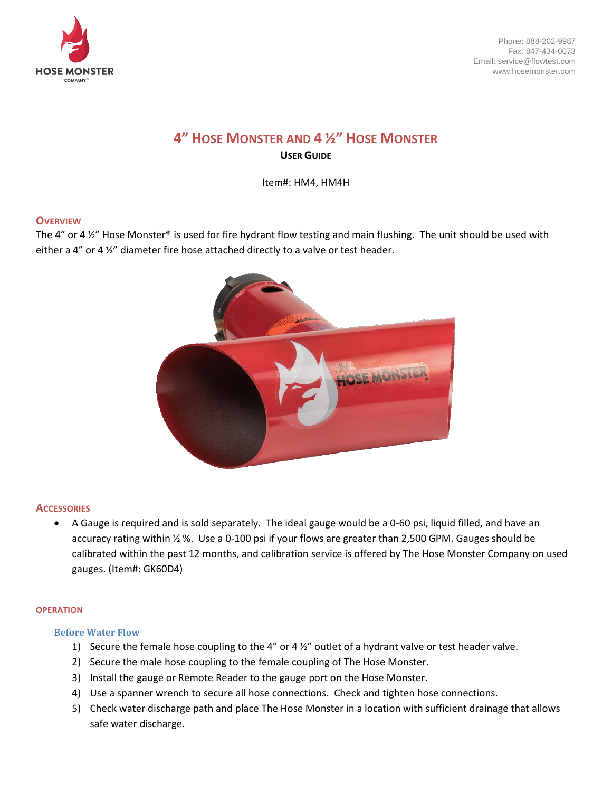

Phone: 888-202-9987 Fax: 847-434-0073 Email: service@flowtest.com www.hosemonster.com

# **4" HOSE MONSTER AND 4 ½" HOSE MONSTER USER GUIDE**

Item#: HM4, HM4H

## **OVERVIEW**

The 4" or 4  $\frac{1}{2}$ " Hose Monster® is used for fire hydrant flow testing and main flushing. The unit should be used with either a 4" or 4 ½" diameter fire hose attached directly to a valve or test header.



#### **ACCESSORIES**

• A Gauge is required and is sold separately. The ideal gauge would be a 0-60 psi, liquid filled, and have an accuracy rating within ½ %. Use a 0-100 psi if your flows are greater than 2,500 GPM. Gauges should be calibrated within the past 12 months, and calibration service is offered by The Hose Monster Company on used gauges. (Item#: GK60D4)

#### **OPERATION**

#### **Before Water Flow**

- 1) Secure the female hose coupling to the 4" or 4 ½" outlet of a hydrant valve or test header valve.
- 2) Secure the male hose coupling to the female coupling of The Hose Monster.
- 3) Install the gauge or Remote Reader to the gauge port on the Hose Monster.
- 4) Use a spanner wrench to secure all hose connections. Check and tighten hose connections.
- 5) Check water discharge path and place The Hose Monster in a location with sufficient drainage that allows safe water discharge.